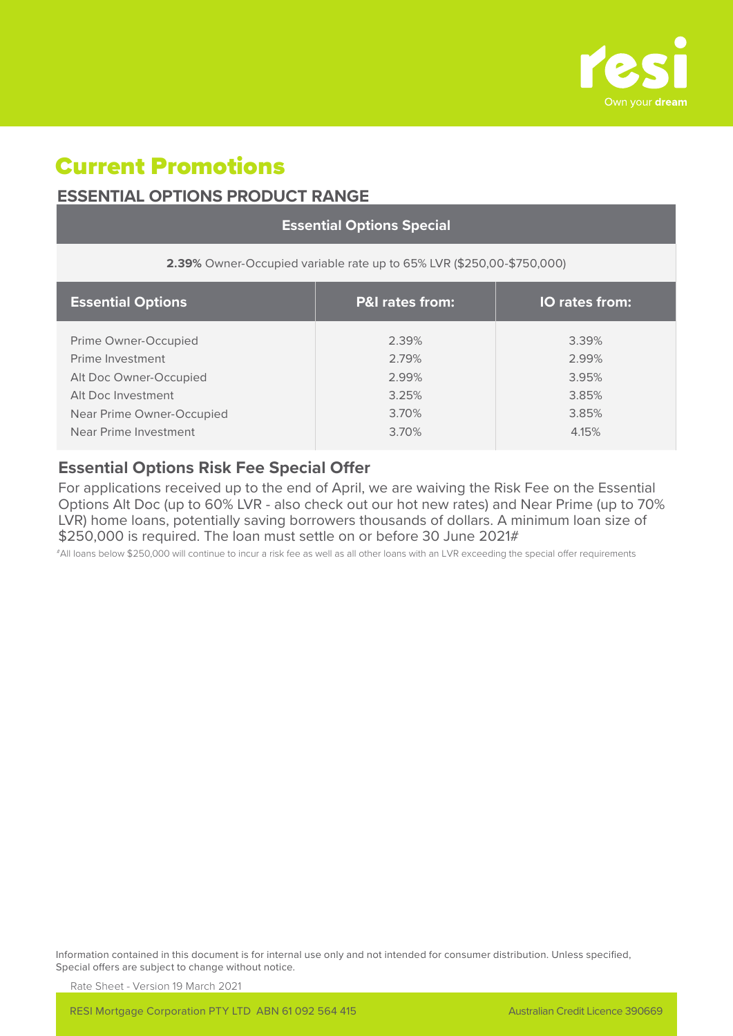

# Current Promotions

## **ESSENTIAL OPTIONS PRODUCT RANGE**

| <b>Essential Options Special</b>                                      |                            |                |  |  |
|-----------------------------------------------------------------------|----------------------------|----------------|--|--|
| 2.39% Owner-Occupied variable rate up to 65% LVR (\$250,00-\$750,000) |                            |                |  |  |
| <b>Essential Options</b>                                              | <b>P&amp;I</b> rates from: | IO rates from: |  |  |
| Prime Owner-Occupied                                                  | 2.39%                      | 3.39%          |  |  |
| Prime Investment                                                      | 2.79%                      | 2.99%          |  |  |
| Alt Doc Owner-Occupied                                                | 2.99%                      | 3.95%          |  |  |
| Alt Doc Investment                                                    | 3.25%                      | 3.85%          |  |  |
| Near Prime Owner-Occupied                                             | 3.70%                      | 3.85%          |  |  |
| Near Prime Investment                                                 | 3.70%                      | 4.15%          |  |  |

## **Essential Options Risk Fee Special Offer**

For applications received up to the end of April, we are waiving the Risk Fee on the Essential Options Alt Doc (up to 60% LVR - also check out our hot new rates) and Near Prime (up to 70% LVR) home loans, potentially saving borrowers thousands of dollars. A minimum loan size of \$250,000 is required. The loan must settle on or before 30 June 2021#

#All loans below \$250,000 will continue to incur a risk fee as well as all other loans with an LVR exceeding the special offer requirements

Information contained in this document is for internal use only and not intended for consumer distribution. Unless specified, Special offers are subject to change without notice.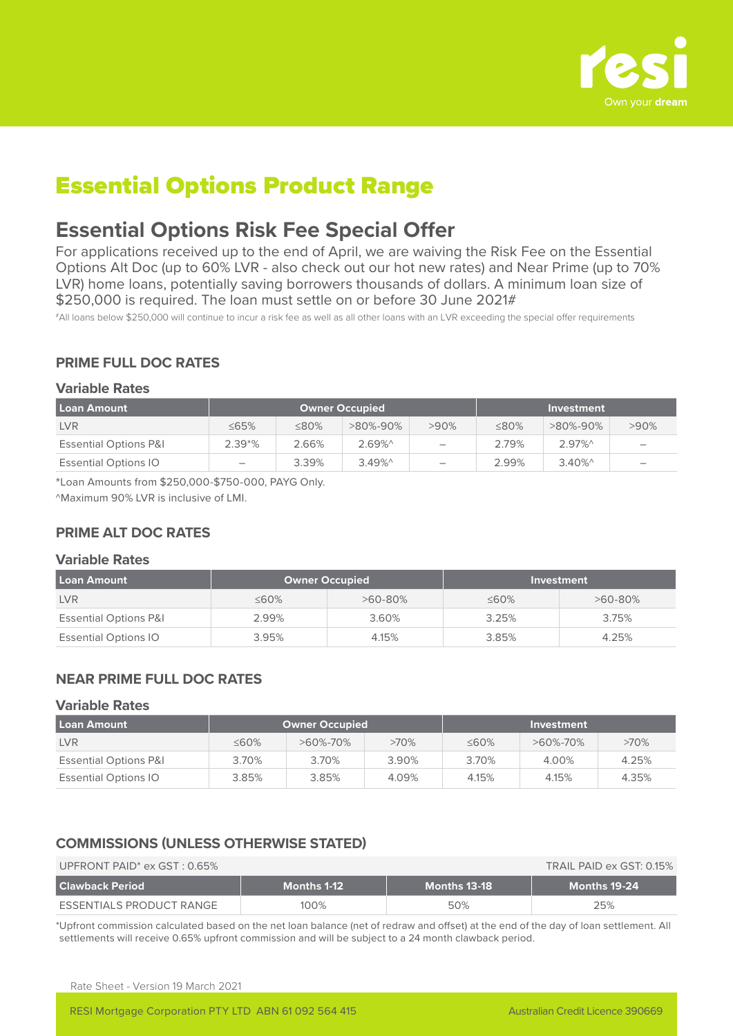

# Essential Options Product Range

## **Essential Options Risk Fee Special Offer**

For applications received up to the end of April, we are waiving the Risk Fee on the Essential Options Alt Doc (up to 60% LVR - also check out our hot new rates) and Near Prime (up to 70% LVR) home loans, potentially saving borrowers thousands of dollars. A minimum loan size of \$250,000 is required. The loan must settle on or before 30 June 2021#

#All loans below \$250,000 will continue to incur a risk fee as well as all other loans with an LVR exceeding the special offer requirements

## **PRIME FULL DOC RATES**

#### **Variable Rates**

| Loan Amount                      | <b>Owner Occupied</b>    |             |          | Investment               |             |          |                                 |
|----------------------------------|--------------------------|-------------|----------|--------------------------|-------------|----------|---------------------------------|
| <b>LVR</b>                       | $\leq$ 65%               | $\leq 80\%$ | >80%-90% | $>90\%$                  | $\leq 80\%$ | >80%-90% | $>90\%$                         |
| <b>Essential Options P&amp;I</b> | $2.39*%$                 | 2.66%       | $2.69\%$ | $\overline{\phantom{0}}$ | 2.79%       | $2.97\%$ | $\hspace{0.1mm}-\hspace{0.1mm}$ |
| <b>Essential Options IO</b>      | $\overline{\phantom{0}}$ | 3.39%       | $3.49\%$ | $\overline{\phantom{0}}$ | 2.99%       | $3.40\%$ | $\overline{\phantom{a}}$        |

\*Loan Amounts from \$250,000-\$750-000, PAYG Only.

^Maximum 90% LVR is inclusive of LMI.

## **PRIME ALT DOC RATES**

#### **Variable Rates**

| Loan Amount                      | <b>Owner Occupied</b> |            | Investment  |            |  |
|----------------------------------|-----------------------|------------|-------------|------------|--|
| <b>LVR</b>                       | ≤60%                  | $>60-80\%$ | $\leq 60\%$ | $>60-80\%$ |  |
| <b>Essential Options P&amp;I</b> | 2.99%                 | 3.60%      | 3.25%       | 3.75%      |  |
| <b>Essential Options IO</b>      | 3.95%                 | 4.15%      | 3.85%       | 4.25%      |  |

### **NEAR PRIME FULL DOC RATES**

#### **Variable Rates**

| l Loan Amount                    | Owner Occupied |          | Investment |             |                |         |
|----------------------------------|----------------|----------|------------|-------------|----------------|---------|
| <b>LVR</b>                       | $\leq 60\%$    | >60%-70% | $>70\%$    | $\leq 60\%$ | $>60\% - 70\%$ | $>70\%$ |
| <b>Essential Options P&amp;I</b> | 3.70%          | 3.70%    | 3.90%      | 3.70%       | 4.00%          | 4.25%   |
| <b>Essential Options IO</b>      | 3.85%          | 3.85%    | 4.09%      | 4.15%       | 4.15%          | 4.35%   |

## **COMMISSIONS (UNLESS OTHERWISE STATED)**

| UPFRONT PAID <sup>*</sup> ex $GST: 0.65\%$ |             |              | TRAIL PAID ex GST: 0.15% |
|--------------------------------------------|-------------|--------------|--------------------------|
| l Clawback Period                          | Months 1-12 | Months 13-18 | Months 19-24             |
| ESSENTIALS PRODUCT RANGE                   | $100\%$     | 50%          | 25%                      |

\*Upfront commission calculated based on the net loan balance (net of redraw and offset) at the end of the day of loan settlement. All settlements will receive 0.65% upfront commission and will be subject to a 24 month clawback period.